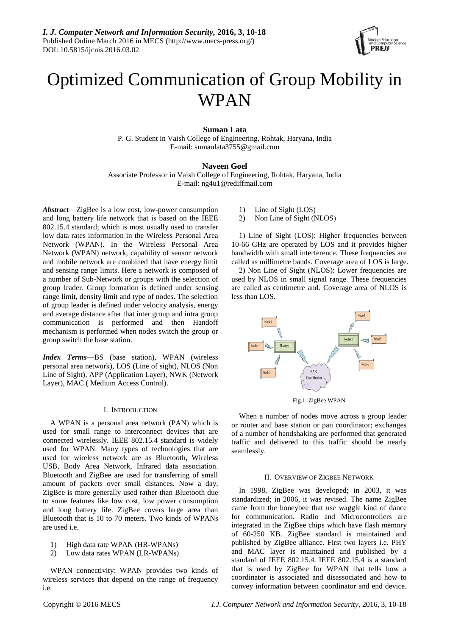

# Optimized Communication of Group Mobility in WPAN

# **Suman Lata**

P. G. Student in Vaish College of Engineering, Rohtak, Haryana, India E-mail: sumanlata3755@gmail.com

# **Naveen Goel**

Associate Professor in Vaish College of Engineering, Rohtak, Haryana, India E-mail: ng4u1@rediffmail.com

*Abstract*—ZigBee is a low cost, low-power consumption and long battery life network that is based on the IEEE 802.15.4 standard; which is most usually used to transfer low data rates information in the Wireless Personal Area Network (WPAN). In the Wireless Personal Area Network (WPAN) network, capability of sensor network and mobile network are combined that have energy limit and sensing range limits. Here a network is composed of a number of Sub-Network or groups with the selection of group leader. Group formation is defined under sensing range limit, density limit and type of nodes. The selection of group leader is defined under velocity analysis, energy and average distance after that inter group and intra group communication is performed and then Handoff mechanism is performed when nodes switch the group or group switch the base station.

*Index Terms*—BS (base station), WPAN (wireless personal area network), LOS (Line of sight), NLOS (Non Line of Sight), APP (Application Layer), NWK (Network Layer), MAC ( Medium Access Control).

# I. INTRODUCTION

A WPAN is a personal area network (PAN) which is used for small range to interconnect devices that are connected wirelessly. IEEE 802.15.4 standard is widely used for WPAN. Many types of technologies that are used for wireless network are as Bluetooth, Wireless USB, Body Area Network, Infrared data association. Bluetooth and ZigBee are used for transferring of small amount of packets over small distances. Now a day, ZigBee is more generally used rather than Bluetooth due to some features like low cost, low power consumption and long battery life. ZigBee covers large area than Bluetooth that is 10 to 70 meters. Two kinds of WPANs are used i.e.

- 1) High data rate WPAN (HR-WPANs)
- 2) Low data rates WPAN (LR-WPANs)

WPAN connectivity: WPAN provides two kinds of wireless services that depend on the range of frequency i.e.

- 1) Line of Sight (LOS)
- 2) Non Line of Sight (NLOS)

1) Line of Sight (LOS): Higher frequencies between 10-66 GHz are operated by LOS and it provides higher bandwidth with small interference. These frequencies are called as millimetre bands. Coverage area of LOS is large.

2) Non Line of Sight (NLOS): Lower frequencies are used by NLOS in small signal range. These frequencies are called as centimetre and. Coverage area of NLOS is less than LOS.



Fig.1. ZigBee WPAN

When a number of nodes move across a group leader or router and base station or pan coordinator; exchanges of a number of handshaking are performed that generated traffic and delivered to this traffic should be nearly seamlessly.

#### II. OVERVIEW OF ZIGBEE NETWORK

In 1998, ZigBee was developed; in 2003, it was standardized; in 2006, it was revised. The name ZigBee came from the honeybee that use waggle kind of dance for communication. Radio and Microcontrollers are integrated in the ZigBee chips which have flash memory of 60-250 KB. ZigBee standard is maintained and published by ZigBee alliance. First two layers i.e. PHY and MAC layer is maintained and published by a standard of IEEE 802.15.4. IEEE 802.15.4 is a standard that is used by ZigBee for WPAN that tells how a coordinator is associated and disassociated and how to convey information between coordinator and end device.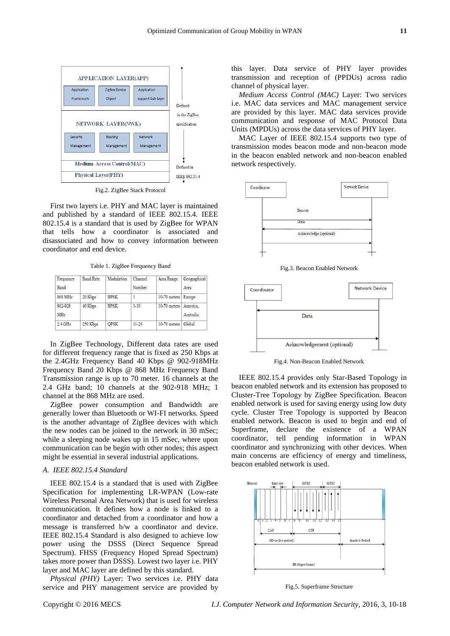

Fig.2. ZigBee Stack Protocol

First two layers i.e. PHY and MAC layer is maintained and published by a standard of IEEE 802.15.4. IEEE 802.15.4 is a standard that is used by ZigBee for WPAN that tells how a coordinator is associated and disassociated and how to convey information between coordinator and end device.

Table 1. ZigBee Frequency Band

| Frequency   | <b>Baud Rate</b> | Modulation  | Channel   | Area Range     | Geographical |
|-------------|------------------|-------------|-----------|----------------|--------------|
| <b>Band</b> |                  |             | Number    |                | Area         |
| 868 MHz     | 20 Kbps          | <b>BPSK</b> |           | $10-70$ meters | Europe       |
| 902-928     | 40 Kbps          | <b>BPSK</b> | $1 - 10$  | $10-70$ meters | America.     |
| MHz         |                  |             |           |                | Australia    |
| $2.4$ GHz   | 250 Kbps         | <b>OPSK</b> | $11 - 26$ | $10-70$ meters | Global       |

In ZigBee Technology, Different data rates are used for different frequency range that is fixed as 250 [Kbps at](mailto:Kbps@2.4GHz)  the [2.4GHz](mailto:Kbps@2.4GHz) Frequency Band 40 Kbps @ 902-918MHz Frequency Band 20 Kbps @ 868 MHz Frequency Band Transmission range is up to 70 meter. 16 channels at the 2.4 GHz band; 10 channels at the 902-918 MHz; 1 channel at the 868 MHz are used.

ZigBee power consumption and Bandwidth are generally lower than Bluetooth or WI-FI networks. Speed is the another advantage of ZigBee devices with which the new nodes can be joined to the network in 30 mSec; while a sleeping node wakes up in 15 mSec, where upon communication can be begin with other nodes; this aspect might be essential in several industrial applications.

# *A. IEEE 802.15.4 Standard*

IEEE 802.15.4 is a standard that is used with ZigBee Specification for implementing LR-WPAN (Low-rate Wireless Personal Area Network) that is used for wireless communication. It defines how a node is linked to a coordinator and detached from a coordinator and how a message is transferred b/w a coordinator and device. IEEE 802.15.4 Standard is also designed to achieve low power using the DSSS (Direct Sequence Spread Spectrum). FHSS (Frequency Hoped Spread Spectrum) takes more power than DSSS). Lowest two layer i.e. PHY layer and MAC layer are defined by this standard.

*Physical (PHY)* Layer: Two services i.e. PHY data service and PHY management service are provided by this layer. Data service of PHY layer provides transmission and reception of (PPDUs) across radio channel of physical layer.

*Medium Access Control (MAC)* Layer: Two services i.e. MAC data services and MAC management service are provided by this layer. MAC data services provide communication and response of MAC Protocol Data Units (MPDUs) across the data services of PHY layer.

MAC Layer of IEEE 802.15.4 supports two type of transmission modes beacon mode and non-beacon mode in the beacon enabled network and non-beacon enabled network respectively.



Fig.3. Beacon Enabled Network



Fig.4. Non-Beacon Enabled Network

IEEE 802.15.4 provides only Star-Based Topology in beacon enabled network and its extension has proposed to Cluster-Tree Topology by ZigBee Specification. Beacon enabled network is used for saving energy using low duty cycle. Cluster Tree Topology is supported by Beacon enabled network. Beacon is used to begin and end of Superframe, declare the existence of a WPAN coordinator, tell pending information in WPAN coordinator and synchronizing with other devices. When main concerns are efficiency of energy and timeliness, beacon enabled network is used.



Fig.5. Superframe Structure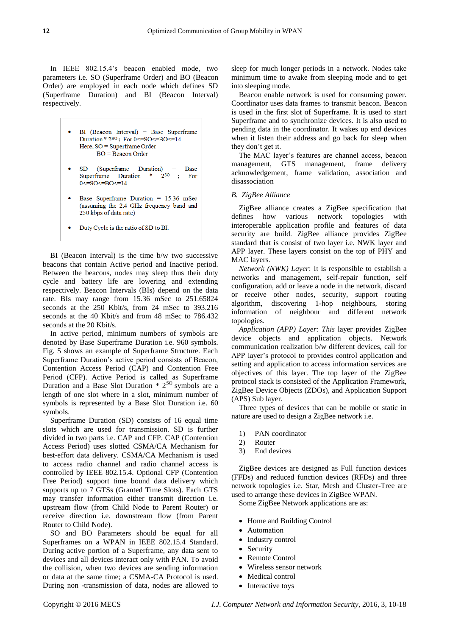In IEEE 802.15.4's beacon enabled mode, two parameters i.e. SO (Superframe Order) and BO (Beacon Order) are employed in each node which defines SD (Superframe Duration) and BI (Beacon Interval) respectively.

- $BI$  (Beacon Interval) = Base Superframe Duration \*  $2^{BO}$ ; For 0 <=  $SO$  <=  $BO$  <=  $14$ Here, SO = Superframe Order  $BO = \text{Beacon Order}$
- $SD$ (Superframe Duration)  $=$ Base Superframe Duration \*  $2^{SO}$  ; For  $0 < = SO < = RO < = 14$
- Base Superframe Duration = 15.36 mSec (assuming the 2.4 GHz frequency band and 250 kbps of data rate)
- Duty Cycle is the ratio of SD to BI.

BI (Beacon Interval) is the time b/w two successive beacons that contain Active period and Inactive period. Between the beacons, nodes may sleep thus their duty cycle and battery life are lowering and extending respectively. Beacon Intervals (BIs) depend on the data rate. BIs may range from 15.36 mSec to 251.65824 seconds at the 250 Kbit/s, from 24 mSec to 393.216 seconds at the 40 Kbit/s and from 48 mSec to 786.432 seconds at the 20 Kbit/s.

In active period, minimum numbers of symbols are denoted by Base Superframe Duration i.e. 960 symbols. Fig. 5 shows an example of Superframe Structure. Each Superframe Duration's active period consists of Beacon, Contention Access Period (CAP) and Contention Free Period (CFP). Active Period is called as Superframe Duration and a Base Slot Duration  $* 2<sup>80</sup>$  symbols are a length of one slot where in a slot, minimum number of symbols is represented by a Base Slot Duration i.e. 60 symbols.

Superframe Duration (SD) consists of 16 equal time slots which are used for transmission. SD is further divided in two parts i.e. CAP and CFP. CAP (Contention Access Period) uses slotted CSMA/CA Mechanism for best-effort data delivery. CSMA/CA Mechanism is used to access radio channel and radio channel access is controlled by IEEE 802.15.4. Optional CFP (Contention Free Period) support time bound data delivery which supports up to 7 GTSs (Granted Time Slots). Each GTS may transfer information either transmit direction i.e. upstream flow (from Child Node to Parent Router) or receive direction i.e. downstream flow (from Parent Router to Child Node).

SO and BO Parameters should be equal for all Superframes on a WPAN in IEEE 802.15.4 Standard. During active portion of a Superframe, any data sent to devices and all devices interact only with PAN. To avoid the collision, when two devices are sending information or data at the same time; a CSMA-CA Protocol is used. During non -transmission of data, nodes are allowed to sleep for much longer periods in a network. Nodes take minimum time to awake from sleeping mode and to get into sleeping mode.

Beacon enable network is used for consuming power. Coordinator uses data frames to transmit beacon. Beacon is used in the first slot of Superframe. It is used to start Superframe and to synchronize devices. It is also used to pending data in the coordinator. It wakes up end devices when it listen their address and go back for sleep when they don't get it.

The MAC layer's features are channel access, beacon management, GTS management, frame delivery acknowledgement, frame validation, association and disassociation

## *B. ZigBee Alliance*

ZigBee alliance creates a ZigBee specification that defines how various network topologies with interoperable application profile and features of data security are build. ZigBee alliance provides ZigBee standard that is consist of two layer i.e. NWK layer and APP layer. These layers consist on the top of PHY and MAC layers.

*Network (NWK) Layer*: It is responsible to establish a networks and management, self-repair function, self configuration, add or leave a node in the network, discard or receive other nodes, security, support routing algorithm, discovering 1-hop neighbours, storing information of neighbour and different network topologies.

*Application (APP) Layer: This* layer provides ZigBee device objects and application objects. Network communication realization b/w different devices, call for APP layer's protocol to provides control application and setting and application to access information services are objectives of this layer. The top layer of the ZigBee protocol stack is consisted of the Application Framework, ZigBee Device Objects (ZDOs), and Application Support (APS) Sub layer.

Three types of devices that can be mobile or static in nature are used to design a ZigBee network i.e.

- 1) PAN coordinator
- 2) Router
- 3) End devices

ZigBee devices are designed as Full function devices (FFDs) and reduced function devices (RFDs) and three network topologies i.e. Star, Mesh and Cluster-Tree are used to arrange these devices in ZigBee WPAN.

Some ZigBee Network applications are as:

- Home and Building Control
- Automation
- Industry control
- Security
- Remote Control
- Wireless sensor network
- Medical control
- Interactive toys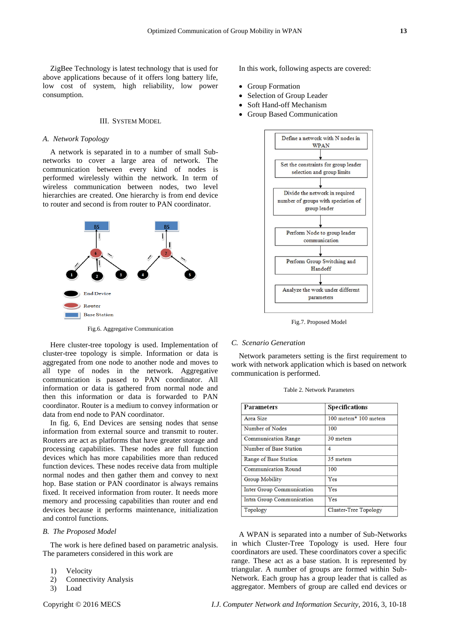ZigBee Technology is latest technology that is used for above applications because of it offers long battery life, low cost of system, high reliability, low power consumption.

# III. SYSTEM MODEL

#### *A. Network Topology*

A network is separated in to a number of small Subnetworks to cover a large area of network. The communication between every kind of nodes is performed wirelessly within the network. In term of wireless communication between nodes, two level hierarchies are created. One hierarchy is from end device to router and second is from router to PAN coordinator.



Fig.6. Aggregative Communication

Here cluster-tree topology is used. Implementation of cluster-tree topology is simple. Information or data is aggregated from one node to another node and moves to all type of nodes in the network. Aggregative communication is passed to PAN coordinator. All information or data is gathered from normal node and then this information or data is forwarded to PAN coordinator. Router is a medium to convey information or data from end node to PAN coordinator.

In fig. 6, End Devices are sensing nodes that sense information from external source and transmit to router. Routers are act as platforms that have greater storage and processing capabilities. These nodes are full function devices which has more capabilities more than reduced function devices. These nodes receive data from multiple normal nodes and then gather them and convey to next hop. Base station or PAN coordinator is always remains fixed. It received information from router. It needs more memory and processing capabilities than router and end devices because it performs maintenance, initialization and control functions.

# *B. The Proposed Model*

The work is here defined based on parametric analysis. The parameters considered in this work are

- 1) Velocity
- 2) Connectivity Analysis
- 3) Load

In this work, following aspects are covered:

- Group Formation
- Selection of Group Leader
- Soft Hand-off Mechanism
- Group Based Communication



Fig.7. Proposed Model

# *C. Scenario Generation*

Network parameters setting is the first requirement to work with network application which is based on network communication is performed.

| <b>Parameters</b>                | <b>Specifications</b>  |  |
|----------------------------------|------------------------|--|
| Area Size                        | 100 meters* 100 meters |  |
| Number of Nodes                  | 100                    |  |
| <b>Communication Range</b>       | 30 meters              |  |
| Number of Base Station           | 4                      |  |
| Range of Base Station            | 35 meters              |  |
| <b>Communication Round</b>       | 100                    |  |
| Group Mobility                   | Yes                    |  |
| <b>Inter Group Communication</b> | Yes                    |  |
| Intra Group Communication        | Yes                    |  |
| Topology                         | Cluster-Tree Topology  |  |

A WPAN is separated into a number of Sub-Networks in which Cluster-Tree Topology is used. Here four coordinators are used. These coordinators cover a specific range. These act as a base station. It is represented by triangular. A number of groups are formed within Sub-Network. Each group has a group leader that is called as aggregator. Members of group are called end devices or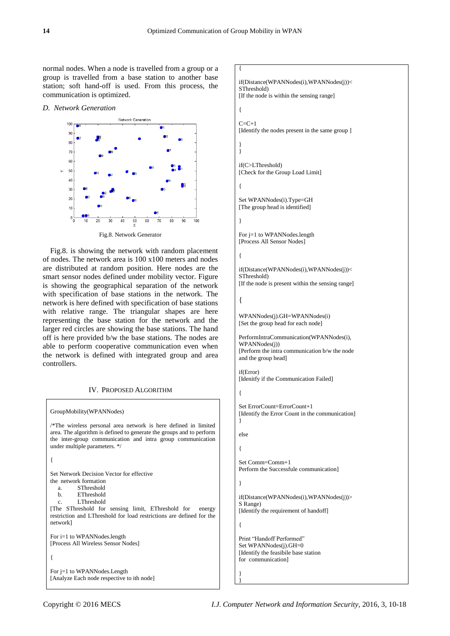{

normal nodes. When a node is travelled from a group or a group is travelled from a base station to another base station; soft hand-off is used. From this process, the communication is optimized.

#### *D. Network Generation*



Fig.8. is showing the network with random placement of nodes. The network area is 100 x100 meters and nodes are distributed at random position. Here nodes are the smart sensor nodes defined under mobility vector. Figure is showing the geographical separation of the network with specification of base stations in the network. The network is here defined with specification of base stations with relative range. The triangular shapes are here representing the base station for the network and the larger red circles are showing the base stations. The hand off is here provided b/w the base stations. The nodes are able to perform cooperative communication even when the network is defined with integrated group and area controllers.

# IV. PROPOSED ALGORITHM

| GroupMobility(WPANNodes)                                                                                                                                                                                                                                                          |  |  |  |  |
|-----------------------------------------------------------------------------------------------------------------------------------------------------------------------------------------------------------------------------------------------------------------------------------|--|--|--|--|
| /*The wireless personal area network is here defined in limited<br>area. The algorithm is defined to generate the groups and to perform<br>the inter-group communication and intra group communication<br>under multiple parameters. */                                           |  |  |  |  |
| {                                                                                                                                                                                                                                                                                 |  |  |  |  |
| Set Network Decision Vector for effective<br>the network formation<br>a. SThreshold<br>b. EThreshold<br>L.Threshold<br>$c_{\rm m}$<br>The SThreshold for sensing limit, EThreshold for energy<br>restriction and LThreshold for load restrictions are defined for the<br>network] |  |  |  |  |
| For $i=1$ to WPANNodes. length<br>[Process All Wireless Sensor Nodes]                                                                                                                                                                                                             |  |  |  |  |
| ł                                                                                                                                                                                                                                                                                 |  |  |  |  |
| For $i=1$ to WPANNodes. Length<br>[Analyze Each node respective to ith node]                                                                                                                                                                                                      |  |  |  |  |

```
if(Distance(WPANNodes(i),WPANNodes(j))<
SThreshold)
[If the node is within the sensing range]
{
C = C + 1[Identify the nodes present in the same group ]
}
}
if(C>LThreshold)
[Check for the Group Load Limit]
{
Set WPANNodes(i).Type=GH
[The group head is identified]
}
For j=1 to WPANNodes.length
[Process All Sensor Nodes]
{
if(Distance(WPANNodes(i),WPANNodes(j))<
SThreshold)
[If the node is present within the sensing range]
{
WPANNodes(j).GH=WPANNodes(i)
[Set the group head for each node]
PerformIntraCommunication(WPANNodes(i),
WPANNodes(j))
[Perform the intra communication b/w the node 
and the group head]
if(Error)
[Idenitfy if the Communication Failed]
{
Set ErrorCount=ErrorCount+1
[Identify the Error Count in the communication]
}
else
{
Set Comm=Comm+1
Perform the Successfule communication]
}
if(Distance(WPANNodes(i),WPANNodes(j))>
S Range)
[Identify the requirement of handoff]
{
Print "Handoff Performed"
Set WPANNodes(j).GH=0
[Identify the feasibile base station 
for communication]
}
}
```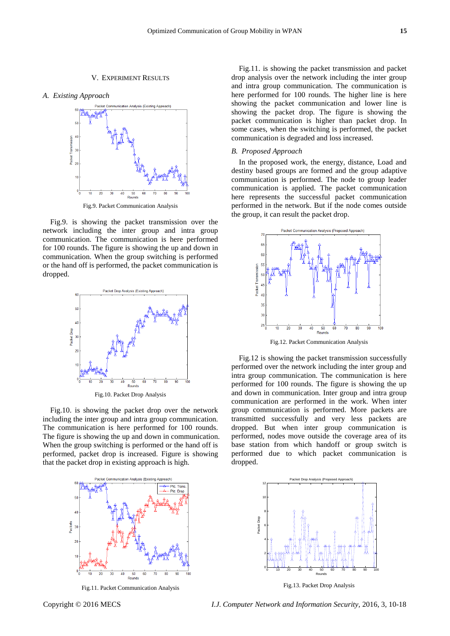# V. EXPERIMENT RESULTS





Fig.9. Packet Communication Analysis

Fig.9. is showing the packet transmission over the network including the inter group and intra group communication. The communication is here performed for 100 rounds. The figure is showing the up and down in communication. When the group switching is performed or the hand off is performed, the packet communication is dropped.



Fig.10. Packet Drop Analysis

Fig.10. is showing the packet drop over the network including the inter group and intra group communication. The communication is here performed for 100 rounds. The figure is showing the up and down in communication. When the group switching is performed or the hand off is performed, packet drop is increased. Figure is showing that the packet drop in existing approach is high.



Fig.11. Packet Communication Analysis

Fig.11. is showing the packet transmission and packet drop analysis over the network including the inter group and intra group communication. The communication is here performed for 100 rounds. The higher line is here showing the packet communication and lower line is showing the packet drop. The figure is showing the packet communication is higher than packet drop. In some cases, when the switching is performed, the packet communication is degraded and loss increased.

#### *B. Proposed Approach*

In the proposed work, the energy, distance, Load and destiny based groups are formed and the group adaptive communication is performed. The node to group leader communication is applied. The packet communication here represents the successful packet communication performed in the network. But if the node comes outside the group, it can result the packet drop.



Fig.12. Packet Communication Analysis

Fig.12 is showing the packet transmission successfully performed over the network including the inter group and intra group communication. The communication is here performed for 100 rounds. The figure is showing the up and down in communication. Inter group and intra group communication are performed in the work. When inter group communication is performed. More packets are transmitted successfully and very less packets are dropped. But when inter group communication is performed, nodes move outside the coverage area of its base station from which handoff or group switch is performed due to which packet communication is dropped.



Fig.13. Packet Drop Analysis

Copyright © 2016 MECS *I.J. Computer Network and Information Security,* 2016, 3, 10-18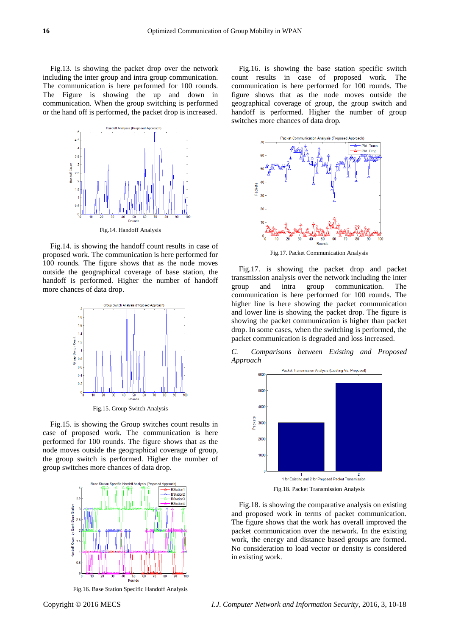Fig.13. is showing the packet drop over the network including the inter group and intra group communication. The communication is here performed for 100 rounds. The Figure is showing the up and down in communication. When the group switching is performed or the hand off is performed, the packet drop is increased.



Fig.14. Handoff Analysis

Fig.14. is showing the handoff count results in case of proposed work. The communication is here performed for 100 rounds. The figure shows that as the node moves outside the geographical coverage of base station, the handoff is performed. Higher the number of handoff more chances of data drop.



Fig.15. Group Switch Analysis

Fig.15. is showing the Group switches count results in case of proposed work. The communication is here performed for 100 rounds. The figure shows that as the node moves outside the geographical coverage of group, the group switch is performed. Higher the number of group switches more chances of data drop.



Fig.16. Base Station Specific Handoff Analysis

Fig.16. is showing the base station specific switch count results in case of proposed work. The communication is here performed for 100 rounds. The figure shows that as the node moves outside the geographical coverage of group, the group switch and handoff is performed. Higher the number of group switches more chances of data drop.



Fig.17. Packet Communication Analysis

Fig.17. is showing the packet drop and packet transmission analysis over the network including the inter group and intra group communication. The communication is here performed for 100 rounds. The higher line is here showing the packet communication and lower line is showing the packet drop. The figure is showing the packet communication is higher than packet drop. In some cases, when the switching is performed, the packet communication is degraded and loss increased.

*C. Comparisons between Existing and Proposed Approach*



Fig.18. Packet Transmission Analysis

Fig.18. is showing the comparative analysis on existing and proposed work in terms of packet communication. The figure shows that the work has overall improved the packet communication over the network. In the existing work, the energy and distance based groups are formed. No consideration to load vector or density is considered in existing work.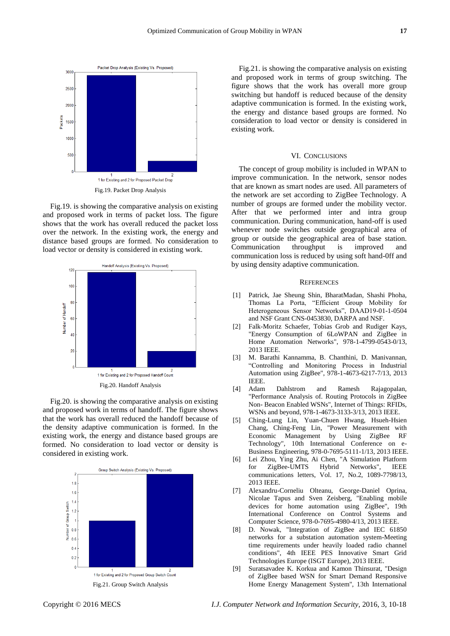

Fig.19. is showing the comparative analysis on existing and proposed work in terms of packet loss. The figure shows that the work has overall reduced the packet loss over the network. In the existing work, the energy and distance based groups are formed. No consideration to load vector or density is considered in existing work.



Fig.20. is showing the comparative analysis on existing and proposed work in terms of handoff. The figure shows that the work has overall reduced the handoff because of the density adaptive communication is formed. In the existing work, the energy and distance based groups are formed. No consideration to load vector or density is considered in existing work.



Fig.21. is showing the comparative analysis on existing and proposed work in terms of group switching. The figure shows that the work has overall more group switching but handoff is reduced because of the density adaptive communication is formed. In the existing work, the energy and distance based groups are formed. No consideration to load vector or density is considered in existing work.

# VI. CONCLUSIONS

The concept of group mobility is included in WPAN to improve communication. In the network, sensor nodes that are known as smart nodes are used. All parameters of the network are set according to ZigBee Technology. A number of groups are formed under the mobility vector. After that we performed inter and intra group communication. During communication, hand-off is used whenever node switches outside geographical area of group or outside the geographical area of base station. Communication throughput is improved and communication loss is reduced by using soft hand-0ff and by using density adaptive communication.

#### **REFERENCES**

- [1] Patrick, Jae Sheung Shin, BharatMadan, Shashi Phoha, Thomas La Porta, "Efficient Group Mobility for Heterogeneous Sensor Networks", DAAD19-01-1-0504 and NSF Grant CNS-0453830, DARPA and NSF.
- [2] Falk-Moritz Schaefer, Tobias Grob and Rudiger Kays, "Energy Consumption of 6LoWPAN and ZigBee in Home Automation Networks", 978-1-4799-0543-0/13, 2013 IEEE.
- [3] M. Barathi Kannamma, B. Chanthini, D. Manivannan, "Controlling and Monitoring Process in Industrial Automation using ZigBee", 978-1-4673-6217-7/13, 2013 IEEE.
- [4] Adam Dahlstrom and Ramesh Rajagopalan, "Performance Analysis of. Routing Protocols in ZigBee Non- Beacon Enabled WSNs", Internet of Things: RFIDs, WSNs and beyond, 978-1-4673-3133-3/13, 2013 IEEE.
- [5] Ching-Lung Lin, Yuan-Chuen Hwang, Hsueh-Hsien Chang, Ching-Feng Lin, "Power Measurement with Economic Management by Using ZigBee RF Technology", 10th International Conference on e-Business Engineering, 978-0-7695-5111-1/13, 2013 IEEE.
- [6] Lei Zhou, Ying Zhu, Ai Chen, "A Simulation Platform for ZigBee-UMTS Hybrid Networks", IEEE communications letters, Vol. 17, No.2, 1089-7798/13, 2013 IEEE.
- [7] Alexandru-Corneliu Olteanu, George-Daniel Oprina, Nicolae Tapus and Sven Zeisberg, "Enabling mobile devices for home automation using ZigBee", 19th International Conference on Control Systems and Computer Science, 978-0-7695-4980-4/13, 2013 IEEE.
- [8] D. Nowak, "Integration of ZigBee and IEC 61850 networks for a substation automation system-Meeting time requirements under heavily loaded radio channel conditions", 4th IEEE PES Innovative Smart Grid Technologies Europe (ISGT Europe), 2013 IEEE.
- [9] Suratsavadee K. Korkua and Kamon Thinsurat, "Design of ZigBee based WSN for Smart Demand Responsive Home Energy Management System", 13th International